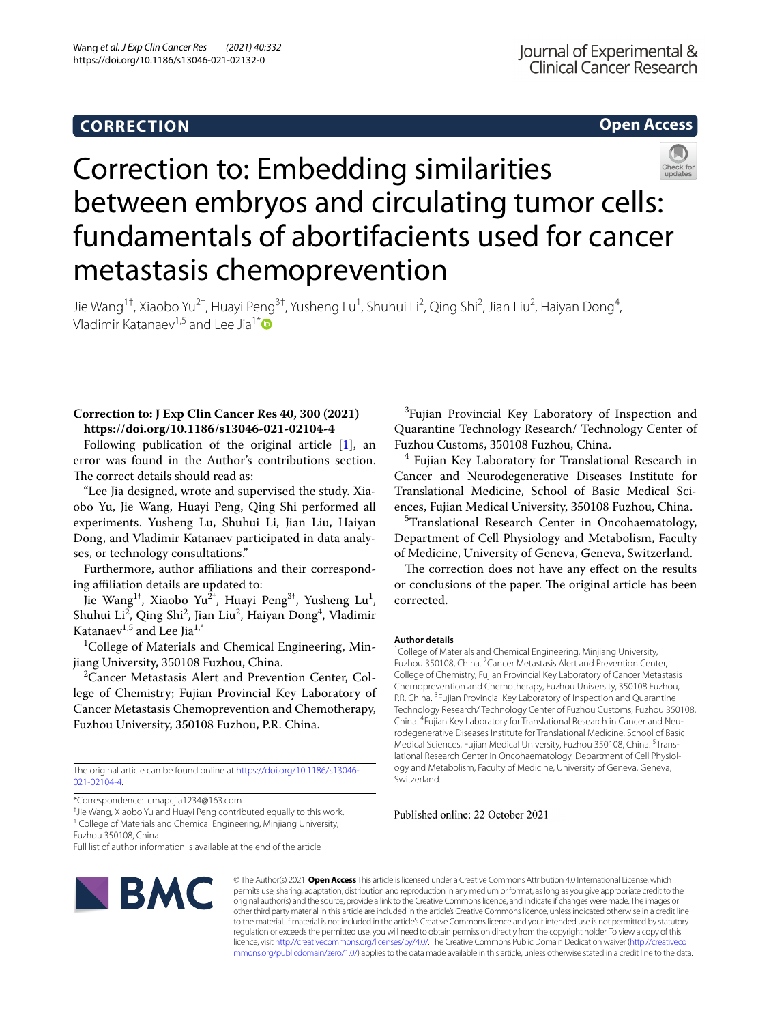## **CORRECTION**

## **Open Access**



# Correction to: Embedding similarities between embryos and circulating tumor cells: fundamentals of abortifacients used for cancer metastasis chemoprevention

Jie Wang<sup>1†</sup>, Xiaobo Yu<sup>2†</sup>, Huayi Peng<sup>3†</sup>, Yusheng Lu<sup>1</sup>, Shuhui Li<sup>2</sup>, Qing Shi<sup>2</sup>, Jian Liu<sup>2</sup>, Haiyan Dong<sup>4</sup>, Vladimir Katanaev<sup>1,5</sup> and Lee Jia<sup>1[\\*](https://orcid.org/0000-0001-6839-5545)</sup>

### **Correction to: J Exp Clin Cancer Res 40, 300 (2021) https://doi.org/10.1186/s13046-021-02104-4**

Following publication of the original article [[1\]](#page-1-0), an error was found in the Author's contributions section. The correct details should read as:

"Lee Jia designed, wrote and supervised the study. Xiaobo Yu, Jie Wang, Huayi Peng, Qing Shi performed all experiments. Yusheng Lu, Shuhui Li, Jian Liu, Haiyan Dong, and Vladimir Katanaev participated in data analyses, or technology consultations."

Furthermore, author afliations and their corresponding affiliation details are updated to:

Jie Wang $^{1\dagger}$ , Xiaobo Yu $^{2\dagger}$ , Huayi Peng $^{3\dagger}$ , Yusheng Lu<sup>1</sup>, Shuhui Li<sup>2</sup>, Qing Shi<sup>2</sup>, Jian Liu<sup>2</sup>, Haiyan Dong<sup>4</sup>, Vladimir Katanaev<sup>1,5</sup> and Lee Jia<sup>1,\*</sup>

<sup>1</sup>College of Materials and Chemical Engineering, Minjiang University, 350108 Fuzhou, China.

<sup>2</sup> Cancer Metastasis Alert and Prevention Center, College of Chemistry; Fujian Provincial Key Laboratory of Cancer Metastasis Chemoprevention and Chemotherapy, Fuzhou University, 350108 Fuzhou, P.R. China.

The original article can be found online at [https://doi.org/10.1186/s13046-](https://doi.org/10.1186/s13046-021-02104-4) [021-02104-4](https://doi.org/10.1186/s13046-021-02104-4).

† Jie Wang, Xiaobo Yu and Huayi Peng contributed equally to this work. <sup>1</sup> College of Materials and Chemical Engineering, Minjiang University,

Fuzhou 350108, China

Full list of author information is available at the end of the article



© The Author(s) 2021. **Open Access** This article is licensed under a Creative Commons Attribution 4.0 International License, which permits use, sharing, adaptation, distribution and reproduction in any medium or format, as long as you give appropriate credit to the original author(s) and the source, provide a link to the Creative Commons licence, and indicate if changes were made. The images or other third party material in this article are included in the article's Creative Commons licence, unless indicated otherwise in a credit line to the material. If material is not included in the article's Creative Commons licence and your intended use is not permitted by statutory regulation or exceeds the permitted use, you will need to obtain permission directly from the copyright holder. To view a copy of this licence, visit [http://creativecommons.org/licenses/by/4.0/.](http://creativecommons.org/licenses/by/4.0/) The Creative Commons Public Domain Dedication waiver ([http://creativeco](http://creativecommons.org/publicdomain/zero/1.0/) [mmons.org/publicdomain/zero/1.0/](http://creativecommons.org/publicdomain/zero/1.0/)) applies to the data made available in this article, unless otherwise stated in a credit line to the data.

<sup>3</sup> Fujian Provincial Key Laboratory of Inspection and Quarantine Technology Research/ Technology Center of Fuzhou Customs, 350108 Fuzhou, China.

4 Fujian Key Laboratory for Translational Research in Cancer and Neurodegenerative Diseases Institute for Translational Medicine, School of Basic Medical Sciences, Fujian Medical University, 350108 Fuzhou, China.

<sup>5</sup>Translational Research Center in Oncohaematology, Department of Cell Physiology and Metabolism, Faculty of Medicine, University of Geneva, Geneva, Switzerland.

The correction does not have any effect on the results or conclusions of the paper. The original article has been corrected.

#### **Author details**

<sup>1</sup> College of Materials and Chemical Engineering, Minjiang University, Fuzhou 350108, China. <sup>2</sup> Cancer Metastasis Alert and Prevention Center, College of Chemistry, Fujian Provincial Key Laboratory of Cancer Metastasis Chemoprevention and Chemotherapy, Fuzhou University, 350108 Fuzhou, P.R. China. <sup>3</sup> Fujian Provincial Key Laboratory of Inspection and Quarantine Technology Research/ Technology Center of Fuzhou Customs, Fuzhou 350108, China. 4 Fujian Key Laboratory for Translational Research in Cancer and Neurodegenerative Diseases Institute for Translational Medicine, School of Basic Medical Sciences, Fujian Medical University, Fuzhou 350108, China. <sup>5</sup>Translational Research Center in Oncohaematology, Department of Cell Physiology and Metabolism, Faculty of Medicine, University of Geneva, Geneva, Switzerland.

Published online: 22 October 2021

<sup>\*</sup>Correspondence: cmapcjia1234@163.com